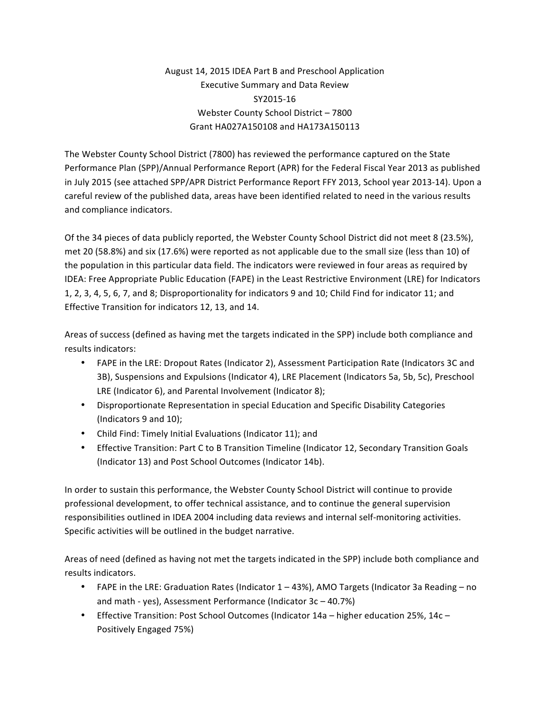## August 14, 2015 IDEA Part B and Preschool Application Executive Summary and Data Review SY2015-16 Webster County School District - 7800 Grant HA027A150108 and HA173A150113

The Webster County School District (7800) has reviewed the performance captured on the State Performance Plan (SPP)/Annual Performance Report (APR) for the Federal Fiscal Year 2013 as published in July 2015 (see attached SPP/APR District Performance Report FFY 2013, School year 2013-14). Upon a careful review of the published data, areas have been identified related to need in the various results and compliance indicators.

Of the 34 pieces of data publicly reported, the Webster County School District did not meet 8 (23.5%), met 20 (58.8%) and six (17.6%) were reported as not applicable due to the small size (less than 10) of the population in this particular data field. The indicators were reviewed in four areas as required by IDEA: Free Appropriate Public Education (FAPE) in the Least Restrictive Environment (LRE) for Indicators 1, 2, 3, 4, 5, 6, 7, and 8; Disproportionality for indicators 9 and 10; Child Find for indicator 11; and Effective Transition for indicators 12, 13, and 14.

Areas of success (defined as having met the targets indicated in the SPP) include both compliance and results indicators:

- FAPE in the LRE: Dropout Rates (Indicator 2), Assessment Participation Rate (Indicators 3C and 3B), Suspensions and Expulsions (Indicator 4), LRE Placement (Indicators 5a, 5b, 5c), Preschool LRE (Indicator 6), and Parental Involvement (Indicator 8);
- Disproportionate Representation in special Education and Specific Disability Categories (Indicators 9 and 10);
- Child Find: Timely Initial Evaluations (Indicator 11); and
- Effective Transition: Part C to B Transition Timeline (Indicator 12, Secondary Transition Goals (Indicator 13) and Post School Outcomes (Indicator 14b).

In order to sustain this performance, the Webster County School District will continue to provide professional development, to offer technical assistance, and to continue the general supervision responsibilities outlined in IDEA 2004 including data reviews and internal self-monitoring activities. Specific activities will be outlined in the budget narrative.

Areas of need (defined as having not met the targets indicated in the SPP) include both compliance and results indicators.

- FAPE in the LRE: Graduation Rates (Indicator  $1 43$ %), AMO Targets (Indicator 3a Reading no and math - yes), Assessment Performance (Indicator  $3c - 40.7%$ )
- Effective Transition: Post School Outcomes (Indicator 14a higher education 25%, 14c Positively Engaged 75%)